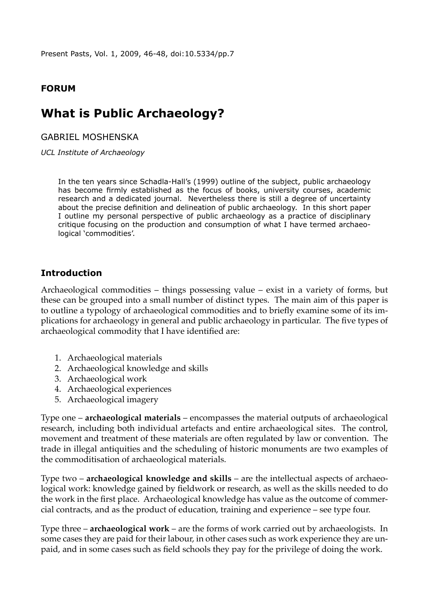Present Pasts, Vol. 1, 2009, 46-48, [doi:10.5334/pp.7](http://dx.doi.org/10.5334/pp.7)

### **Forum**

# **What is Public Archaeology?**

Gabriel moshenska

*UCL Institute of Archaeology*

In the ten years since Schadla-Hall's (1999) outline of the subject, public archaeology has become firmly established as the focus of books, university courses, academic research and a dedicated journal. Nevertheless there is still a degree of uncertainty about the precise definition and delineation of public archaeology. In this short paper I outline my personal perspective of public archaeology as a practice of disciplinary critique focusing on the production and consumption of what I have termed archaeological 'commodities'.

#### **Introduction**

Archaeological commodities – things possessing value – exist in a variety of forms, but these can be grouped into a small number of distinct types. The main aim of this paper is to outline a typology of archaeological commodities and to briefly examine some of its implications for archaeology in general and public archaeology in particular. The five types of archaeological commodity that I have identified are:

- 1. Archaeological materials
- 2. Archaeological knowledge and skills
- 3. Archaeological work
- 4. Archaeological experiences
- 5. Archaeological imagery

Type one – **archaeological materials** – encompasses the material outputs of archaeological research, including both individual artefacts and entire archaeological sites. The control, movement and treatment of these materials are often regulated by law or convention. The trade in illegal antiquities and the scheduling of historic monuments are two examples of the commoditisation of archaeological materials.

Type two – **archaeological knowledge and skills** – are the intellectual aspects of archaeological work: knowledge gained by fieldwork or research, as well as the skills needed to do the work in the first place. Archaeological knowledge has value as the outcome of commercial contracts, and as the product of education, training and experience – see type four.

Type three – **archaeological work** – are the forms of work carried out by archaeologists. In some cases they are paid for their labour, in other cases such as work experience they are unpaid, and in some cases such as field schools they pay for the privilege of doing the work.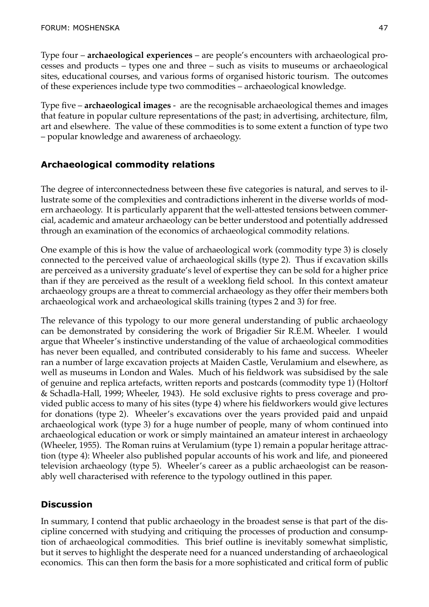Type four – **archaeological experiences** – are people's encounters with archaeological processes and products – types one and three – such as visits to museums or archaeological sites, educational courses, and various forms of organised historic tourism. The outcomes of these experiences include type two commodities – archaeological knowledge.

Type five – **archaeological images** - are the recognisable archaeological themes and images that feature in popular culture representations of the past; in advertising, architecture, film, art and elsewhere. The value of these commodities is to some extent a function of type two – popular knowledge and awareness of archaeology.

# **Archaeological commodity relations**

The degree of interconnectedness between these five categories is natural, and serves to illustrate some of the complexities and contradictions inherent in the diverse worlds of modern archaeology. It is particularly apparent that the well-attested tensions between commercial, academic and amateur archaeology can be better understood and potentially addressed through an examination of the economics of archaeological commodity relations.

One example of this is how the value of archaeological work (commodity type 3) is closely connected to the perceived value of archaeological skills (type 2). Thus if excavation skills are perceived as a university graduate's level of expertise they can be sold for a higher price than if they are perceived as the result of a weeklong field school. In this context amateur archaeology groups are a threat to commercial archaeology as they offer their members both archaeological work and archaeological skills training (types 2 and 3) for free.

The relevance of this typology to our more general understanding of public archaeology can be demonstrated by considering the work of Brigadier Sir R.E.M. Wheeler. I would argue that Wheeler's instinctive understanding of the value of archaeological commodities has never been equalled, and contributed considerably to his fame and success. Wheeler ran a number of large excavation projects at Maiden Castle, Verulamium and elsewhere, as well as museums in London and Wales. Much of his fieldwork was subsidised by the sale of genuine and replica artefacts, written reports and postcards (commodity type 1) (Holtorf & Schadla-Hall, 1999; Wheeler, 1943). He sold exclusive rights to press coverage and provided public access to many of his sites (type 4) where his fieldworkers would give lectures for donations (type 2). Wheeler's excavations over the years provided paid and unpaid archaeological work (type 3) for a huge number of people, many of whom continued into archaeological education or work or simply maintained an amateur interest in archaeology (Wheeler, 1955). The Roman ruins at Verulamium (type 1) remain a popular heritage attraction (type 4): Wheeler also published popular accounts of his work and life, and pioneered television archaeology (type 5). Wheeler's career as a public archaeologist can be reasonably well characterised with reference to the typology outlined in this paper.

# **Discussion**

In summary, I contend that public archaeology in the broadest sense is that part of the discipline concerned with studying and critiquing the processes of production and consumption of archaeological commodities. This brief outline is inevitably somewhat simplistic, but it serves to highlight the desperate need for a nuanced understanding of archaeological economics. This can then form the basis for a more sophisticated and critical form of public